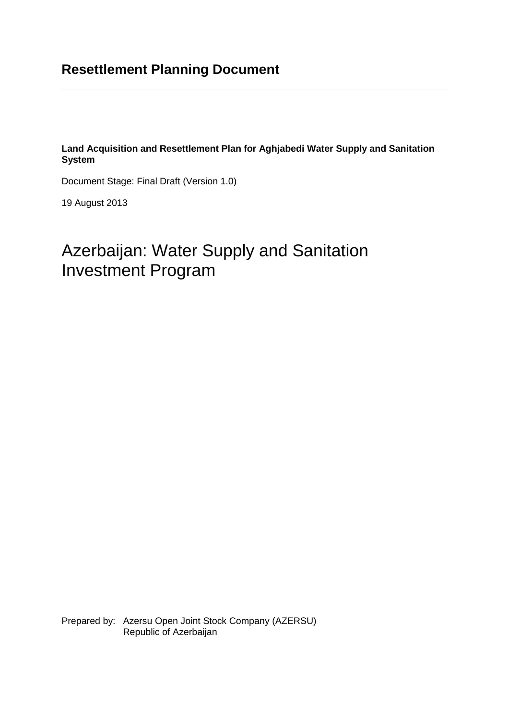# **Resettlement Planning Document**

**Land Acquisition and Resettlement Plan for Aghjabedi Water Supply and Sanitation System**

Document Stage: Final Draft (Version 1.0)

19 August 2013

# Azerbaijan: Water Supply and Sanitation Investment Program

Prepared by: Azersu Open Joint Stock Company (AZERSU) Republic of Azerbaijan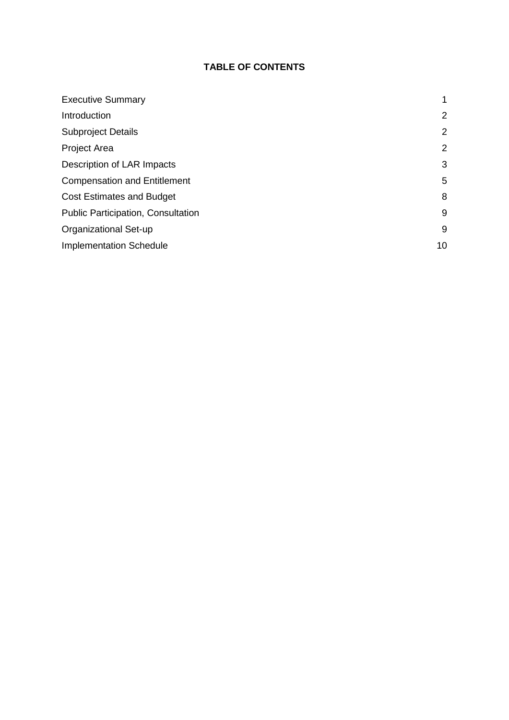## **TABLE OF CONTENTS**

| <b>Executive Summary</b>            |    |
|-------------------------------------|----|
| Introduction                        | 2  |
| <b>Subproject Details</b>           | 2  |
| <b>Project Area</b>                 | 2  |
| Description of LAR Impacts          | 3  |
| <b>Compensation and Entitlement</b> | 5  |
| <b>Cost Estimates and Budget</b>    | 8  |
| Public Participation, Consultation  | 9  |
| Organizational Set-up               | 9  |
| <b>Implementation Schedule</b>      | 10 |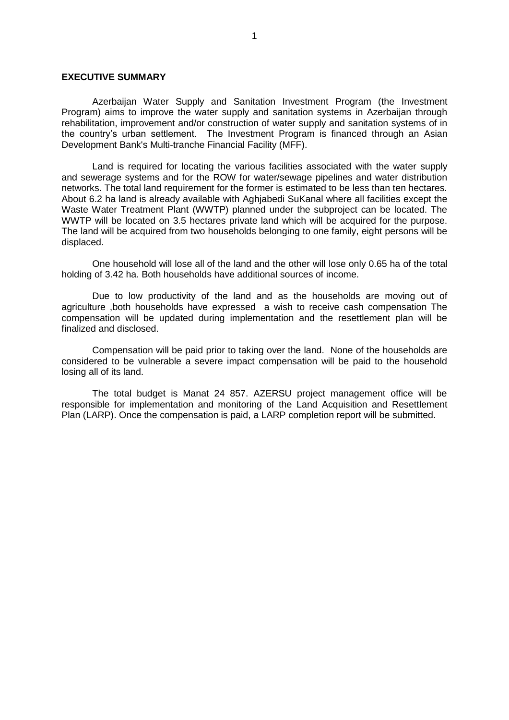#### **EXECUTIVE SUMMARY**

Azerbaijan Water Supply and Sanitation Investment Program (the Investment Program) aims to improve the water supply and sanitation systems in Azerbaijan through rehabilitation, improvement and/or construction of water supply and sanitation systems of in the country's urban settlement. The Investment Program is financed through an Asian Development Bank's Multi-tranche Financial Facility (MFF).

Land is required for locating the various facilities associated with the water supply and sewerage systems and for the ROW for water/sewage pipelines and water distribution networks. The total land requirement for the former is estimated to be less than ten hectares. About 6.2 ha land is already available with Aghjabedi SuKanal where all facilities except the Waste Water Treatment Plant (WWTP) planned under the subproject can be located. The WWTP will be located on 3.5 hectares private land which will be acquired for the purpose. The land will be acquired from two households belonging to one family, eight persons will be displaced.

One household will lose all of the land and the other will lose only 0.65 ha of the total holding of 3.42 ha. Both households have additional sources of income.

Due to low productivity of the land and as the households are moving out of agriculture ,both households have expressed a wish to receive cash compensation The compensation will be updated during implementation and the resettlement plan will be finalized and disclosed.

Compensation will be paid prior to taking over the land. None of the households are considered to be vulnerable a severe impact compensation will be paid to the household losing all of its land.

The total budget is Manat 24 857. AZERSU project management office will be responsible for implementation and monitoring of the Land Acquisition and Resettlement Plan (LARP). Once the compensation is paid, a LARP completion report will be submitted.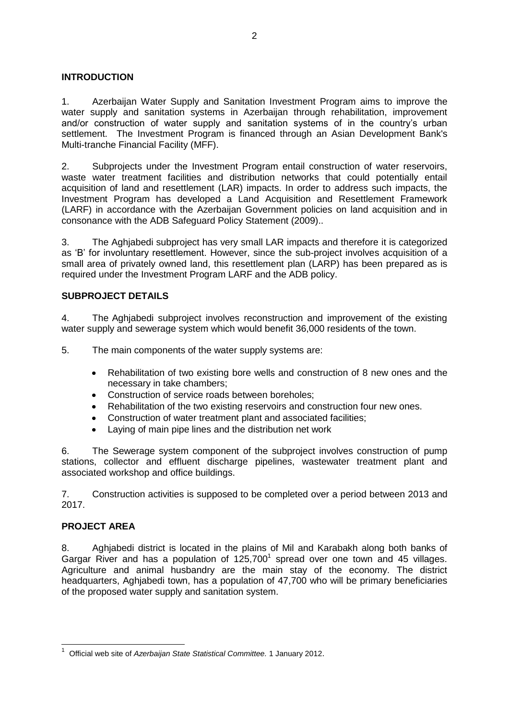#### <span id="page-3-0"></span>**INTRODUCTION**

1. Azerbaijan Water Supply and Sanitation Investment Program aims to improve the water supply and sanitation systems in Azerbaijan through rehabilitation, improvement and/or construction of water supply and sanitation systems of in the country's urban settlement. The Investment Program is financed through an Asian Development Bank's Multi-tranche Financial Facility (MFF).

2. Subprojects under the Investment Program entail construction of water reservoirs, waste water treatment facilities and distribution networks that could potentially entail acquisition of land and resettlement (LAR) impacts. In order to address such impacts, the Investment Program has developed a Land Acquisition and Resettlement Framework (LARF) in accordance with the Azerbaijan Government policies on land acquisition and in consonance with the ADB Safeguard Policy Statement (2009)..

3. The Aghjabedi subproject has very small LAR impacts and therefore it is categorized as 'B' for involuntary resettlement. However, since the sub-project involves acquisition of a small area of privately owned land, this resettlement plan (LARP) has been prepared as is required under the Investment Program LARF and the ADB policy.

#### <span id="page-3-1"></span>**SUBPROJECT DETAILS**

4. The Aghjabedi subproject involves reconstruction and improvement of the existing water supply and sewerage system which would benefit 36,000 residents of the town.

5. The main components of the water supply systems are:

- Rehabilitation of two existing bore wells and construction of 8 new ones and the  $\bullet$ necessary in take chambers;
- Construction of service roads between boreholes;  $\bullet$
- Rehabilitation of the two existing reservoirs and construction four new ones.
- Construction of water treatment plant and associated facilities;
- Laying of main pipe lines and the distribution net work

6. The Sewerage system component of the subproject involves construction of pump stations, collector and effluent discharge pipelines, wastewater treatment plant and associated workshop and office buildings.

7. Construction activities is supposed to be completed over a period between 2013 and 2017.

#### <span id="page-3-2"></span>**PROJECT AREA**

-

8. Aghjabedi district is located in the plains of Mil and Karabakh along both banks of Gargar River and has a population of  $125,700<sup>1</sup>$  spread over one town and 45 villages. Agriculture and animal husbandry are the main stay of the economy. The district headquarters, Aghjabedi town, has a population of 47,700 who will be primary beneficiaries of the proposed water supply and sanitation system.

<sup>1</sup> Official web site of *Azerbaijan State Statistical Committee.* 1 January 2012.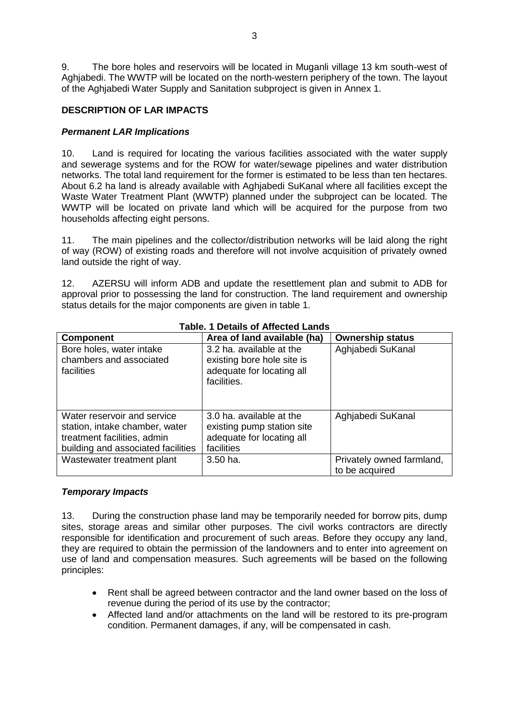9. The bore holes and reservoirs will be located in Muganli village 13 km south-west of Aghjabedi. The WWTP will be located on the north-western periphery of the town. The layout of the Aghjabedi Water Supply and Sanitation subproject is given in Annex 1.

#### <span id="page-4-0"></span>**DESCRIPTION OF LAR IMPACTS**

#### *Permanent LAR Implications*

10. Land is required for locating the various facilities associated with the water supply and sewerage systems and for the ROW for water/sewage pipelines and water distribution networks. The total land requirement for the former is estimated to be less than ten hectares. About 6.2 ha land is already available with Aghjabedi SuKanal where all facilities except the Waste Water Treatment Plant (WWTP) planned under the subproject can be located. The WWTP will be located on private land which will be acquired for the purpose from two households affecting eight persons.

11. The main pipelines and the collector/distribution networks will be laid along the right of way (ROW) of existing roads and therefore will not involve acquisition of privately owned land outside the right of way.

12. AZERSU will inform ADB and update the resettlement plan and submit to ADB for approval prior to possessing the land for construction. The land requirement and ownership status details for the major components are given in table 1.

| <b>Component</b>                                                                                                                   | Area of land available (ha)                                                                        | <b>Ownership status</b>                     |
|------------------------------------------------------------------------------------------------------------------------------------|----------------------------------------------------------------------------------------------------|---------------------------------------------|
| Bore holes, water intake<br>chambers and associated<br>facilities                                                                  | 3.2 ha. available at the<br>existing bore hole site is<br>adequate for locating all<br>facilities. | Aghjabedi SuKanal                           |
| Water reservoir and service<br>station, intake chamber, water<br>treatment facilities, admin<br>building and associated facilities | 3.0 ha. available at the<br>existing pump station site<br>adequate for locating all<br>facilities  | Aghjabedi SuKanal                           |
| Wastewater treatment plant                                                                                                         | $3.50$ ha.                                                                                         | Privately owned farmland,<br>to be acquired |

#### **Table. 1 Details of Affected Lands**

#### *Temporary Impacts*

13. During the construction phase land may be temporarily needed for borrow pits, dump sites, storage areas and similar other purposes. The civil works contractors are directly responsible for identification and procurement of such areas. Before they occupy any land, they are required to obtain the permission of the landowners and to enter into agreement on use of land and compensation measures. Such agreements will be based on the following principles:

- Rent shall be agreed between contractor and the land owner based on the loss of revenue during the period of its use by the contractor;
- Affected land and/or attachments on the land will be restored to its pre-program condition. Permanent damages, if any, will be compensated in cash.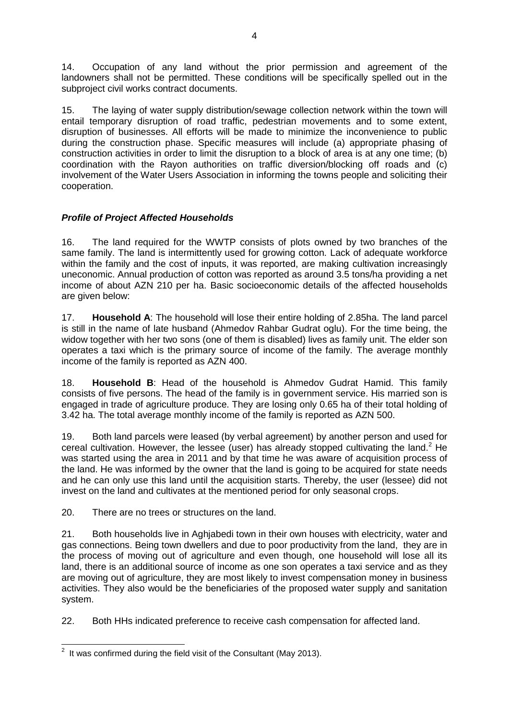14. Occupation of any land without the prior permission and agreement of the landowners shall not be permitted. These conditions will be specifically spelled out in the subproject civil works contract documents.

15. The laying of water supply distribution/sewage collection network within the town will entail temporary disruption of road traffic, pedestrian movements and to some extent, disruption of businesses. All efforts will be made to minimize the inconvenience to public during the construction phase. Specific measures will include (a) appropriate phasing of construction activities in order to limit the disruption to a block of area is at any one time; (b) coordination with the Rayon authorities on traffic diversion/blocking off roads and (c) involvement of the Water Users Association in informing the towns people and soliciting their cooperation.

## *Profile of Project Affected Households*

16. The land required for the WWTP consists of plots owned by two branches of the same family. The land is intermittently used for growing cotton. Lack of adequate workforce within the family and the cost of inputs, it was reported, are making cultivation increasingly uneconomic. Annual production of cotton was reported as around 3.5 tons/ha providing a net income of about AZN 210 per ha. Basic socioeconomic details of the affected households are given below:

17. **Household A**: The household will lose their entire holding of 2.85ha. The land parcel is still in the name of late husband (Ahmedov Rahbar Gudrat oglu). For the time being, the widow together with her two sons (one of them is disabled) lives as family unit. The elder son operates a taxi which is the primary source of income of the family. The average monthly income of the family is reported as AZN 400.

18. **Household B**: Head of the household is Ahmedov Gudrat Hamid. This family consists of five persons. The head of the family is in government service. His married son is engaged in trade of agriculture produce. They are losing only 0.65 ha of their total holding of 3.42 ha. The total average monthly income of the family is reported as AZN 500.

19. Both land parcels were leased (by verbal agreement) by another person and used for cereal cultivation. However, the lessee (user) has already stopped cultivating the land.<sup>2</sup> He was started using the area in 2011 and by that time he was aware of acquisition process of the land. He was informed by the owner that the land is going to be acquired for state needs and he can only use this land until the acquisition starts. Thereby, the user (lessee) did not invest on the land and cultivates at the mentioned period for only seasonal crops.

20. There are no trees or structures on the land.

21. Both households live in Aghjabedi town in their own houses with electricity, water and gas connections. Being town dwellers and due to poor productivity from the land, they are in the process of moving out of agriculture and even though, one household will lose all its land, there is an additional source of income as one son operates a taxi service and as they are moving out of agriculture, they are most likely to invest compensation money in business activities. They also would be the beneficiaries of the proposed water supply and sanitation system.

22. Both HHs indicated preference to receive cash compensation for affected land.

 2 It was confirmed during the field visit of the Consultant (May 2013).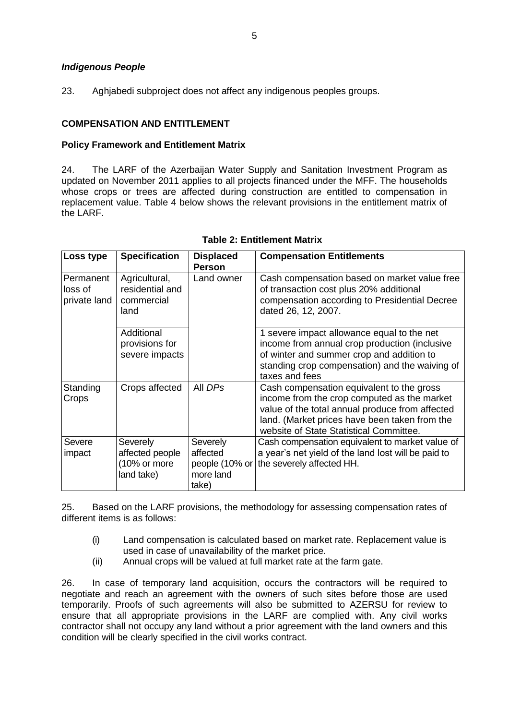#### *Indigenous People*

23. Aghiabedi subproject does not affect any indigenous peoples groups.

#### <span id="page-6-0"></span>**COMPENSATION AND ENTITLEMENT**

#### **Policy Framework and Entitlement Matrix**

24. The LARF of the Azerbaijan Water Supply and Sanitation Investment Program as updated on November 2011 applies to all projects financed under the MFF. The households whose crops or trees are affected during construction are entitled to compensation in replacement value. Table 4 below shows the relevant provisions in the entitlement matrix of the LARF.

| Loss type                            | <b>Specification</b>                                      | <b>Displaced</b><br><b>Person</b>                            | <b>Compensation Entitlements</b>                                                                                                                                                                                                        |
|--------------------------------------|-----------------------------------------------------------|--------------------------------------------------------------|-----------------------------------------------------------------------------------------------------------------------------------------------------------------------------------------------------------------------------------------|
| Permanent<br>loss of<br>private land | Agricultural,<br>residential and<br>commercial<br>land    | Land owner                                                   | Cash compensation based on market value free<br>of transaction cost plus 20% additional<br>compensation according to Presidential Decree<br>dated 26, 12, 2007.                                                                         |
|                                      | Additional<br>provisions for<br>severe impacts            |                                                              | 1 severe impact allowance equal to the net<br>income from annual crop production (inclusive<br>of winter and summer crop and addition to<br>standing crop compensation) and the waiving of<br>taxes and fees                            |
| Standing<br>Crops                    | Crops affected                                            | All DPs                                                      | Cash compensation equivalent to the gross<br>income from the crop computed as the market<br>value of the total annual produce from affected<br>land. (Market prices have been taken from the<br>website of State Statistical Committee. |
| Severe<br>impact                     | Severely<br>affected people<br>(10% or more<br>land take) | Severely<br>affected<br>people (10% or<br>more land<br>take) | Cash compensation equivalent to market value of<br>a year's net yield of the land lost will be paid to<br>the severely affected HH.                                                                                                     |

#### **Table 2: Entitlement Matrix**

25. Based on the LARF provisions, the methodology for assessing compensation rates of different items is as follows:

- (i) Land compensation is calculated based on market rate. Replacement value is used in case of unavailability of the market price.
- (ii) Annual crops will be valued at full market rate at the farm gate.

26. In case of temporary land acquisition, occurs the contractors will be required to negotiate and reach an agreement with the owners of such sites before those are used temporarily. Proofs of such agreements will also be submitted to AZERSU for review to ensure that all appropriate provisions in the LARF are complied with. Any civil works contractor shall not occupy any land without a prior agreement with the land owners and this condition will be clearly specified in the civil works contract.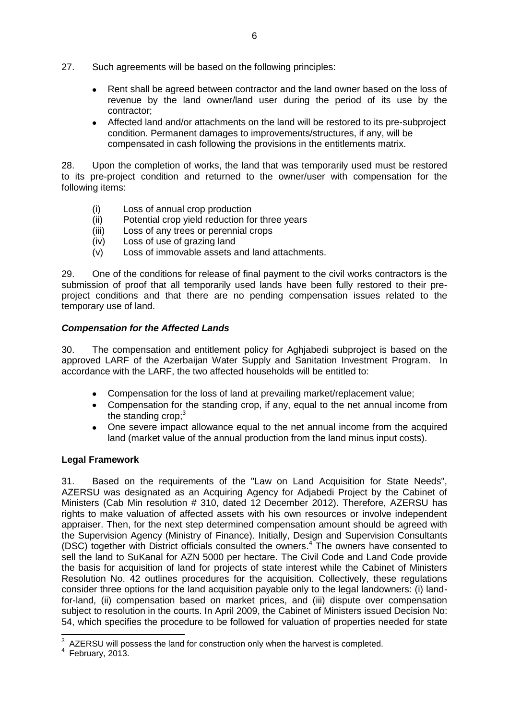- 27. Such agreements will be based on the following principles:
	- Rent shall be agreed between contractor and the land owner based on the loss of revenue by the land owner/land user during the period of its use by the contractor;
	- Affected land and/or attachments on the land will be restored to its pre-subproject condition. Permanent damages to improvements/structures, if any, will be compensated in cash following the provisions in the entitlements matrix.

28. Upon the completion of works, the land that was temporarily used must be restored to its pre-project condition and returned to the owner/user with compensation for the following items:

- (i) Loss of annual crop production
- (ii) Potential crop yield reduction for three years
- (iii) Loss of any trees or perennial crops
- (iv) Loss of use of grazing land
- (v) Loss of immovable assets and land attachments.

29. One of the conditions for release of final payment to the civil works contractors is the submission of proof that all temporarily used lands have been fully restored to their preproject conditions and that there are no pending compensation issues related to the temporary use of land.

#### *Compensation for the Affected Lands*

30. The compensation and entitlement policy for Aghjabedi subproject is based on the approved LARF of the Azerbaijan Water Supply and Sanitation Investment Program. In accordance with the LARF, the two affected households will be entitled to:

- Compensation for the loss of land at prevailing market/replacement value;
- Compensation for the standing crop, if any, equal to the net annual income from the standing crop;<sup>3</sup>
- $\bullet$ One severe impact allowance equal to the net annual income from the acquired land (market value of the annual production from the land minus input costs).

#### **Legal Framework**

31. Based on the requirements of the "Law on Land Acquisition for State Needs", AZERSU was designated as an Acquiring Agency for Adjabedi Project by the Cabinet of Ministers (Cab Min resolution # 310, dated 12 December 2012). Therefore, AZERSU has rights to make valuation of affected assets with his own resources or involve independent appraiser. Then, for the next step determined compensation amount should be agreed with the Supervision Agency (Ministry of Finance). Initially, Design and Supervision Consultants (DSC) together with District officials consulted the owners. <sup>4</sup> The owners have consented to sell the land to SuKanal for AZN 5000 per hectare. The Civil Code and Land Code provide the basis for acquisition of land for projects of state interest while the Cabinet of Ministers Resolution No. 42 outlines procedures for the acquisition. Collectively, these regulations consider three options for the land acquisition payable only to the legal landowners: (i) landfor-land, (ii) compensation based on market prices, and (iii) dispute over compensation subject to resolution in the courts. In April 2009, the Cabinet of Ministers issued Decision No: 54, which specifies the procedure to be followed for valuation of properties needed for state

 3 AZERSU will possess the land for construction only when the harvest is completed.

<sup>4</sup> February, 2013.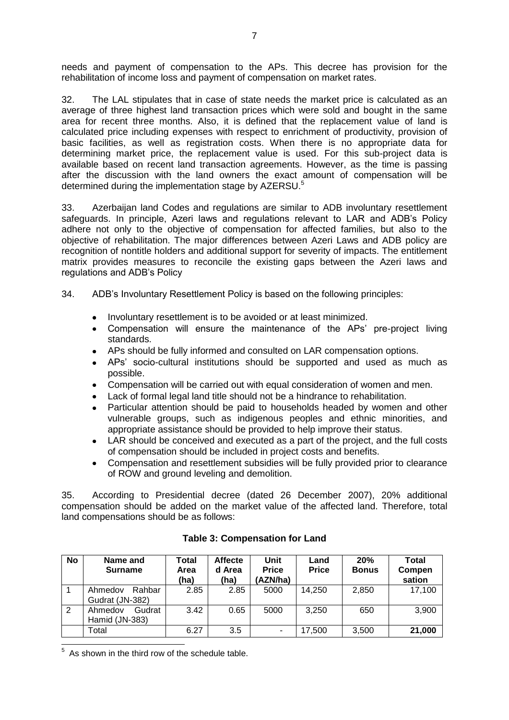needs and payment of compensation to the APs. This decree has provision for the rehabilitation of income loss and payment of compensation on market rates.

32. The LAL stipulates that in case of state needs the market price is calculated as an average of three highest land transaction prices which were sold and bought in the same area for recent three months. Also, it is defined that the replacement value of land is calculated price including expenses with respect to enrichment of productivity, provision of basic facilities, as well as registration costs. When there is no appropriate data for determining market price, the replacement value is used. For this sub-project data is available based on recent land transaction agreements. However, as the time is passing after the discussion with the land owners the exact amount of compensation will be determined during the implementation stage by AZERSU.<sup>5</sup>

33. Azerbaijan land Codes and regulations are similar to ADB involuntary resettlement safeguards. In principle, Azeri laws and regulations relevant to LAR and ADB's Policy adhere not only to the objective of compensation for affected families, but also to the objective of rehabilitation. The major differences between Azeri Laws and ADB policy are recognition of nontitle holders and additional support for severity of impacts. The entitlement matrix provides measures to reconcile the existing gaps between the Azeri laws and regulations and ADB's Policy

34. ADB's Involuntary Resettlement Policy is based on the following principles:

- Involuntary resettlement is to be avoided or at least minimized.
- Compensation will ensure the maintenance of the APs' pre-project living standards.
- APs should be fully informed and consulted on LAR compensation options.
- APs' socio-cultural institutions should be supported and used as much as possible.
- Compensation will be carried out with equal consideration of women and men.
- Lack of formal legal land title should not be a hindrance to rehabilitation.
- Particular attention should be paid to households headed by women and other vulnerable groups, such as indigenous peoples and ethnic minorities, and appropriate assistance should be provided to help improve their status.
- LAR should be conceived and executed as a part of the project, and the full costs of compensation should be included in project costs and benefits.
- Compensation and resettlement subsidies will be fully provided prior to clearance of ROW and ground leveling and demolition.

35. According to Presidential decree (dated 26 December 2007), 20% additional compensation should be added on the market value of the affected land. Therefore, total land compensations should be as follows:

| No             | Name and<br><b>Surname</b>           | Total<br>Area<br>(ha) | <b>Affecte</b><br>d Area<br>(ha) | Unit<br><b>Price</b><br>AZN/ha) | Land<br><b>Price</b> | 20%<br><b>Bonus</b> | Total<br>Compen<br>sation |
|----------------|--------------------------------------|-----------------------|----------------------------------|---------------------------------|----------------------|---------------------|---------------------------|
|                | Rahbar<br>Ahmedov<br>Gudrat (JN-382) | 2.85                  | 2.85                             | 5000                            | 14,250               | 2,850               | 17,100                    |
| $\overline{2}$ | Ahmedov<br>Gudrat<br>Hamid (JN-383)  | 3.42                  | 0.65                             | 5000                            | 3,250                | 650                 | 3,900                     |
|                | $\mathsf{Total}$                     | 6.27                  | 3.5                              |                                 | 17,500               | 3,500               | 21,000                    |

#### **Table 3: Compensation for Land**

**EXECUTE:**<br><sup>5</sup> As shown in the third row of the schedule table.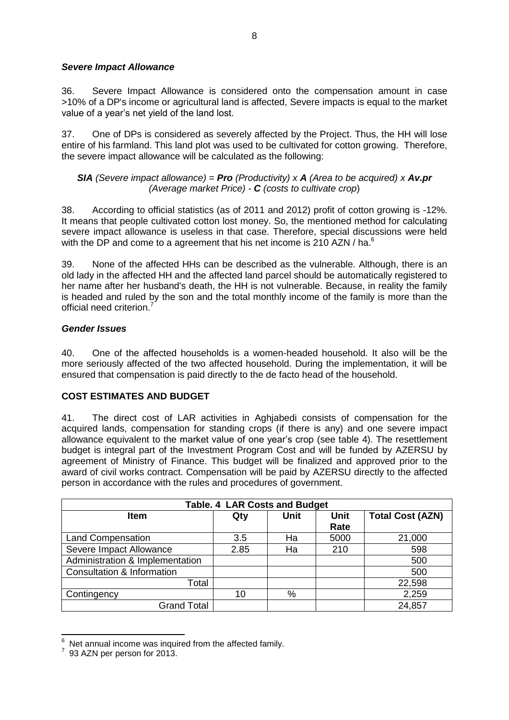#### *Severe Impact Allowance*

36. Severe Impact Allowance is considered onto the compensation amount in case >10% of a DP's income or agricultural land is affected, Severe impacts is equal to the market value of a year's net yield of the land lost.

37. One of DPs is considered as severely affected by the Project. Thus, the HH will lose entire of his farmland. This land plot was used to be cultivated for cotton growing. Therefore, the severe impact allowance will be calculated as the following:

*SIA (Severe impact allowance) = Pro (Productivity) x A (Area to be acquired) x Av.pr (Average market Price) - C (costs to cultivate crop*)

38. According to official statistics (as of 2011 and 2012) profit of cotton growing is -12%. It means that people cultivated cotton lost money. So, the mentioned method for calculating severe impact allowance is useless in that case. Therefore, special discussions were held with the DP and come to a agreement that his net income is 210 AZN / ha. $^6$ 

39. None of the affected HHs can be described as the vulnerable. Although, there is an old lady in the affected HH and the affected land parcel should be automatically registered to her name after her husband's death, the HH is not vulnerable. Because, in reality the family is headed and ruled by the son and the total monthly income of the family is more than the official need criterion.<sup>7</sup>

#### *Gender Issues*

40. One of the affected households is a women-headed household. It also will be the more seriously affected of the two affected household. During the implementation, it will be ensured that compensation is paid directly to the de facto head of the household.

### <span id="page-9-0"></span>**COST ESTIMATES AND BUDGET**

41. The direct cost of LAR activities in Aghjabedi consists of compensation for the acquired lands, compensation for standing crops (if there is any) and one severe impact allowance equivalent to the market value of one year's crop (see table 4). The resettlement budget is integral part of the Investment Program Cost and will be funded by AZERSU by agreement of Ministry of Finance. This budget will be finalized and approved prior to the award of civil works contract. Compensation will be paid by AZERSU directly to the affected person in accordance with the rules and procedures of government.

| <b>Table. 4 LAR Costs and Budget</b> |      |             |                     |                         |  |
|--------------------------------------|------|-------------|---------------------|-------------------------|--|
| <b>Item</b>                          | Qty  | <b>Unit</b> | <b>Unit</b><br>Rate | <b>Total Cost (AZN)</b> |  |
| <b>Land Compensation</b>             | 3.5  | Ha          | 5000                | 21,000                  |  |
| Severe Impact Allowance              | 2.85 | Ha          | 210                 | 598                     |  |
| Administration & Implementation      |      |             |                     | 500                     |  |
| Consultation & Information           |      |             |                     | 500                     |  |
| Total                                |      |             |                     | 22,598                  |  |
| Contingency                          | 10   | %           |                     | 2,259                   |  |
| <b>Grand Total</b>                   |      |             |                     | 24,857                  |  |

 $^6$  Net annual income was inquired from the affected family.

-

<sup>93</sup> AZN per person for 2013.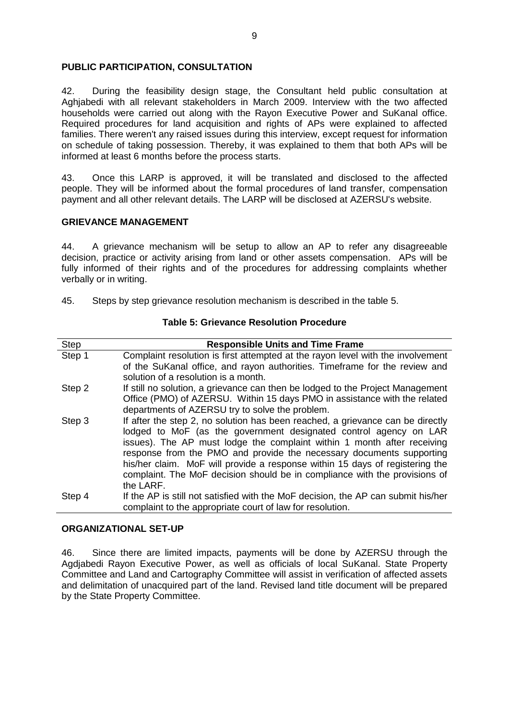#### <span id="page-10-0"></span>**PUBLIC PARTICIPATION, CONSULTATION**

42. During the feasibility design stage, the Consultant held public consultation at Aghjabedi with all relevant stakeholders in March 2009. Interview with the two affected households were carried out along with the Rayon Executive Power and SuKanal office. Required procedures for land acquisition and rights of APs were explained to affected families. There weren't any raised issues during this interview, except request for information on schedule of taking possession. Thereby, it was explained to them that both APs will be informed at least 6 months before the process starts.

43. Once this LARP is approved, it will be translated and disclosed to the affected people. They will be informed about the formal procedures of land transfer, compensation payment and all other relevant details. The LARP will be disclosed at AZERSU's website.

#### **GRIEVANCE MANAGEMENT**

44. A grievance mechanism will be setup to allow an AP to refer any disagreeable decision, practice or activity arising from land or other assets compensation. APs will be fully informed of their rights and of the procedures for addressing complaints whether verbally or in writing.

45. Steps by step grievance resolution mechanism is described in the table 5.

| <b>Step</b> | <b>Responsible Units and Time Frame</b>                                                                                                                                                                                                                                                                                                                                                                                                                                           |
|-------------|-----------------------------------------------------------------------------------------------------------------------------------------------------------------------------------------------------------------------------------------------------------------------------------------------------------------------------------------------------------------------------------------------------------------------------------------------------------------------------------|
| Step 1      | Complaint resolution is first attempted at the rayon level with the involvement                                                                                                                                                                                                                                                                                                                                                                                                   |
|             | of the SuKanal office, and rayon authorities. Timeframe for the review and<br>solution of a resolution is a month.                                                                                                                                                                                                                                                                                                                                                                |
| Step 2      | If still no solution, a grievance can then be lodged to the Project Management                                                                                                                                                                                                                                                                                                                                                                                                    |
|             | Office (PMO) of AZERSU. Within 15 days PMO in assistance with the related                                                                                                                                                                                                                                                                                                                                                                                                         |
|             | departments of AZERSU try to solve the problem.                                                                                                                                                                                                                                                                                                                                                                                                                                   |
| Step 3      | If after the step 2, no solution has been reached, a grievance can be directly<br>lodged to MoF (as the government designated control agency on LAR<br>issues). The AP must lodge the complaint within 1 month after receiving<br>response from the PMO and provide the necessary documents supporting<br>his/her claim. MoF will provide a response within 15 days of registering the<br>complaint. The MoF decision should be in compliance with the provisions of<br>the LARF. |
|             |                                                                                                                                                                                                                                                                                                                                                                                                                                                                                   |
| Step 4      | If the AP is still not satisfied with the MoF decision, the AP can submit his/her<br>complaint to the appropriate court of law for resolution.                                                                                                                                                                                                                                                                                                                                    |

#### **Table 5: Grievance Resolution Procedure**

#### <span id="page-10-1"></span>**ORGANIZATIONAL SET-UP**

46. Since there are limited impacts, payments will be done by AZERSU through the Agdjabedi Rayon Executive Power, as well as officials of local SuKanal. State Property Committee and Land and Cartography Committee will assist in verification of affected assets and delimitation of unacquired part of the land. Revised land title document will be prepared by the State Property Committee.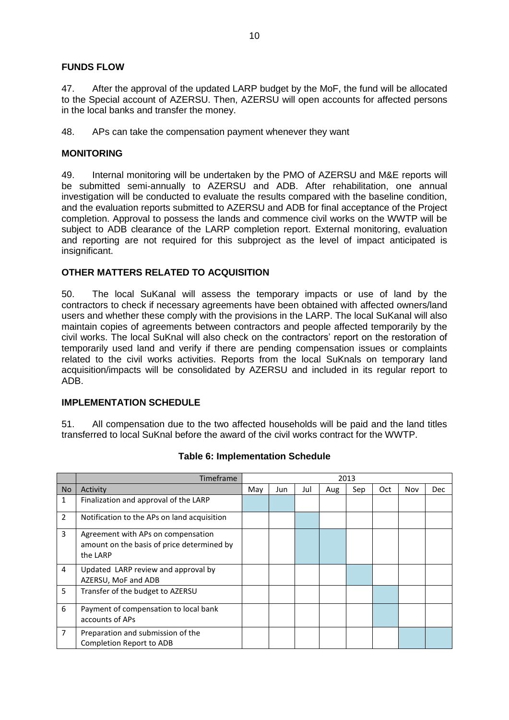#### **FUNDS FLOW**

47. After the approval of the updated LARP budget by the MoF, the fund will be allocated to the Special account of AZERSU. Then, AZERSU will open accounts for affected persons in the local banks and transfer the money.

48. APs can take the compensation payment whenever they want

#### **MONITORING**

49. Internal monitoring will be undertaken by the PMO of AZERSU and M&E reports will be submitted semi-annually to AZERSU and ADB. After rehabilitation, one annual investigation will be conducted to evaluate the results compared with the baseline condition, and the evaluation reports submitted to AZERSU and ADB for final acceptance of the Project completion. Approval to possess the lands and commence civil works on the WWTP will be subject to ADB clearance of the LARP completion report. External monitoring, evaluation and reporting are not required for this subproject as the level of impact anticipated is insignificant.

#### **OTHER MATTERS RELATED TO ACQUISITION**

50. The local SuKanal will assess the temporary impacts or use of land by the contractors to check if necessary agreements have been obtained with affected owners/land users and whether these comply with the provisions in the LARP. The local SuKanal will also maintain copies of agreements between contractors and people affected temporarily by the civil works. The local SuKnal will also check on the contractors' report on the restoration of temporarily used land and verify if there are pending compensation issues or complaints related to the civil works activities. Reports from the local SuKnals on temporary land acquisition/impacts will be consolidated by AZERSU and included in its regular report to ADB.

#### <span id="page-11-0"></span>**IMPLEMENTATION SCHEDULE**

51. All compensation due to the two affected households will be paid and the land titles transferred to local SuKnal before the award of the civil works contract for the WWTP.

|           | Timeframe                                                                                    | 2013 |     |     |     |     |            |     |            |
|-----------|----------------------------------------------------------------------------------------------|------|-----|-----|-----|-----|------------|-----|------------|
| <b>No</b> | Activity                                                                                     | May  | Jun | Jul | Aug | Sep | <b>Oct</b> | Nov | <b>Dec</b> |
| 1         | Finalization and approval of the LARP                                                        |      |     |     |     |     |            |     |            |
| 2         | Notification to the APs on land acquisition                                                  |      |     |     |     |     |            |     |            |
| 3         | Agreement with APs on compensation<br>amount on the basis of price determined by<br>the LARP |      |     |     |     |     |            |     |            |
| 4         | Updated LARP review and approval by<br>AZERSU, MoF and ADB                                   |      |     |     |     |     |            |     |            |
| 5         | Transfer of the budget to AZERSU                                                             |      |     |     |     |     |            |     |            |
| 6         | Payment of compensation to local bank<br>accounts of APs                                     |      |     |     |     |     |            |     |            |
| 7         | Preparation and submission of the<br>Completion Report to ADB                                |      |     |     |     |     |            |     |            |

#### **Table 6: Implementation Schedule**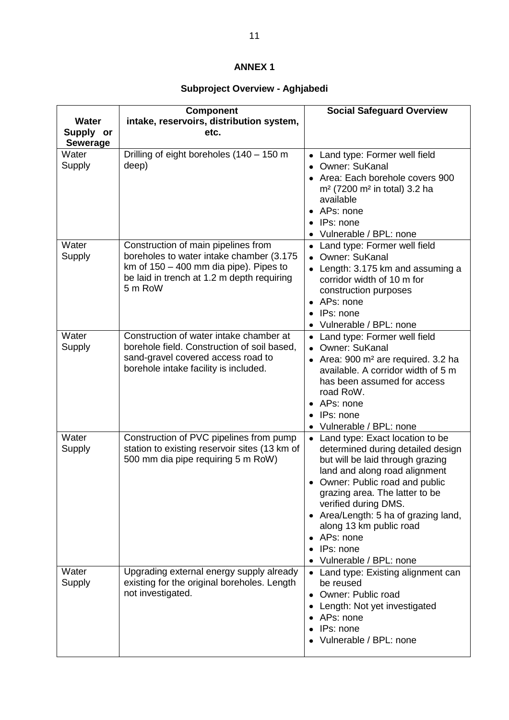# **ANNEX 1**

# **Subproject Overview - Aghjabedi**

|                                              | <b>Component</b>                                                                                                                                                                     | <b>Social Safeguard Overview</b>                                                                                                                                                                                                                                                                                                                              |
|----------------------------------------------|--------------------------------------------------------------------------------------------------------------------------------------------------------------------------------------|---------------------------------------------------------------------------------------------------------------------------------------------------------------------------------------------------------------------------------------------------------------------------------------------------------------------------------------------------------------|
| <b>Water</b><br>Supply or<br><b>Sewerage</b> | intake, reservoirs, distribution system,<br>etc.                                                                                                                                     |                                                                                                                                                                                                                                                                                                                                                               |
| Water<br>Supply                              | Drilling of eight boreholes (140 - 150 m<br>deep)                                                                                                                                    | Land type: Former well field<br>$\bullet$<br>• Owner: SuKanal<br>Area: Each borehole covers 900<br>m <sup>2</sup> (7200 m <sup>2</sup> in total) 3.2 ha<br>available<br>APs: none<br>IPs: none<br>Vulnerable / BPL: none                                                                                                                                      |
| Water<br>Supply                              | Construction of main pipelines from<br>boreholes to water intake chamber (3.175<br>km of $150 - 400$ mm dia pipe). Pipes to<br>be laid in trench at 1.2 m depth requiring<br>5 m RoW | Land type: Former well field<br>Owner: SuKanal<br>$\bullet$<br>Length: 3.175 km and assuming a<br>corridor width of 10 m for<br>construction purposes<br>APs: none<br>IPs: none<br>Vulnerable / BPL: none                                                                                                                                                     |
| Water<br>Supply                              | Construction of water intake chamber at<br>borehole field. Construction of soil based,<br>sand-gravel covered access road to<br>borehole intake facility is included.                | • Land type: Former well field<br>Owner: SuKanal<br>Area: 900 m <sup>2</sup> are required. 3.2 ha<br>available. A corridor width of 5 m<br>has been assumed for access<br>road RoW.<br>• APs: none<br>IPs: none<br>Vulnerable / BPL: none                                                                                                                     |
| Water<br>Supply                              | Construction of PVC pipelines from pump<br>station to existing reservoir sites (13 km of<br>500 mm dia pipe requiring 5 m RoW)                                                       | • Land type: Exact location to be<br>determined during detailed design<br>but will be laid through grazing<br>land and along road alignment<br>Owner: Public road and public<br>grazing area. The latter to be<br>verified during DMS.<br>• Area/Length: 5 ha of grazing land,<br>along 13 km public road<br>APs: none<br>IPs: none<br>Vulnerable / BPL: none |
| Water<br>Supply                              | Upgrading external energy supply already<br>existing for the original boreholes. Length<br>not investigated.                                                                         | • Land type: Existing alignment can<br>be reused<br>Owner: Public road<br>Length: Not yet investigated<br>APs: none<br>IPs: none<br>Vulnerable / BPL: none                                                                                                                                                                                                    |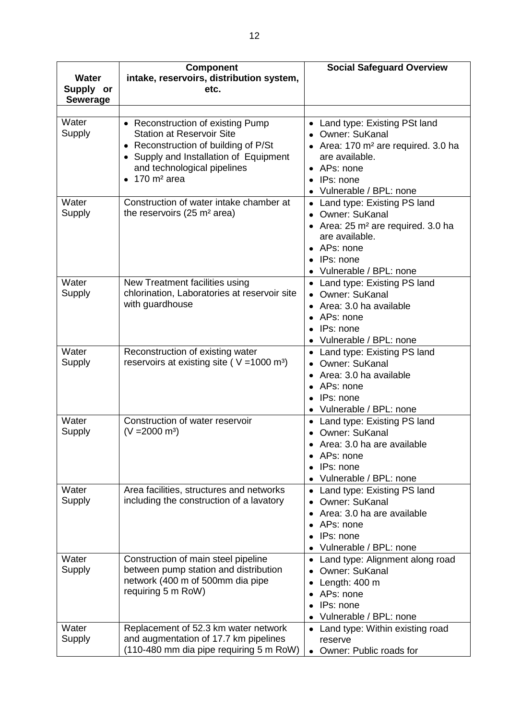| <b>Water</b><br>Supply or<br><b>Sewerage</b> | <b>Component</b><br>intake, reservoirs, distribution system,<br>etc.                                                                                                                                                          | <b>Social Safeguard Overview</b>                                                                                                                                                         |
|----------------------------------------------|-------------------------------------------------------------------------------------------------------------------------------------------------------------------------------------------------------------------------------|------------------------------------------------------------------------------------------------------------------------------------------------------------------------------------------|
| Water<br>Supply                              | • Reconstruction of existing Pump<br><b>Station at Reservoir Site</b><br>• Reconstruction of building of P/St<br>• Supply and Installation of Equipment<br>and technological pipelines<br>$170 \text{ m}^2$ area<br>$\bullet$ | Land type: Existing PSt land<br>• Owner: SuKanal<br>• Area: 170 m <sup>2</sup> are required. 3.0 ha<br>are available.<br>• APs: none<br>IPs: none<br>Vulnerable / BPL: none              |
| Water<br>Supply                              | Construction of water intake chamber at<br>the reservoirs (25 m <sup>2</sup> area)                                                                                                                                            | • Land type: Existing PS land<br>Owner: SuKanal<br>$\bullet$<br>• Area: 25 m <sup>2</sup> are required. 3.0 ha<br>are available.<br>• APs: none<br>• IPs: none<br>Vulnerable / BPL: none |
| Water<br>Supply                              | New Treatment facilities using<br>chlorination, Laboratories at reservoir site<br>with guardhouse                                                                                                                             | Land type: Existing PS land<br>• Owner: SuKanal<br>Area: 3.0 ha available<br>APs: none<br>IPs: none<br>• Vulnerable / BPL: none                                                          |
| Water<br>Supply                              | Reconstruction of existing water<br>reservoirs at existing site ( $V = 1000$ m <sup>3</sup> )                                                                                                                                 | Land type: Existing PS land<br>Owner: SuKanal<br>Area: 3.0 ha available<br>• APs: none<br>IPs: none<br>Vulnerable / BPL: none                                                            |
| Water<br>Supply                              | Construction of water reservoir<br>$(V = 2000 \text{ m}^3)$                                                                                                                                                                   | Land type: Existing PS land<br>$\bullet$<br>• Owner: SuKanal<br>Area: 3.0 ha are available<br>APs: none<br>IPs: none<br>Vulnerable / BPL: none                                           |
| Water<br>Supply                              | Area facilities, structures and networks<br>including the construction of a lavatory                                                                                                                                          | Land type: Existing PS land<br>Owner: SuKanal<br>Area: 3.0 ha are available<br>APs: none<br>IPs: none<br>Vulnerable / BPL: none                                                          |
| Water<br>Supply                              | Construction of main steel pipeline<br>between pump station and distribution<br>network (400 m of 500mm dia pipe<br>requiring 5 m RoW)                                                                                        | Land type: Alignment along road<br>Owner: SuKanal<br>$\bullet$<br>Length: 400 m<br>APs: none<br>IPs: none<br>Vulnerable / BPL: none                                                      |
| Water<br>Supply                              | Replacement of 52.3 km water network<br>and augmentation of 17.7 km pipelines<br>(110-480 mm dia pipe requiring 5 m RoW)                                                                                                      | Land type: Within existing road<br>reserve<br>Owner: Public roads for                                                                                                                    |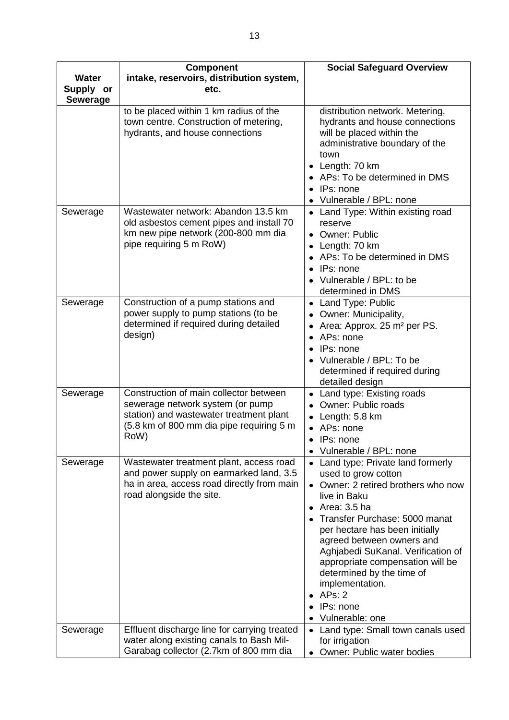|                                              | <b>Component</b>                                                                                                                                                          | <b>Social Safeguard Overview</b>                                                                                                                                                                                                                                                                                                                                                                                  |
|----------------------------------------------|---------------------------------------------------------------------------------------------------------------------------------------------------------------------------|-------------------------------------------------------------------------------------------------------------------------------------------------------------------------------------------------------------------------------------------------------------------------------------------------------------------------------------------------------------------------------------------------------------------|
| <b>Water</b><br>Supply or<br><b>Sewerage</b> | intake, reservoirs, distribution system,<br>etc.                                                                                                                          |                                                                                                                                                                                                                                                                                                                                                                                                                   |
|                                              | to be placed within 1 km radius of the<br>town centre. Construction of metering,<br>hydrants, and house connections                                                       | distribution network. Metering,<br>hydrants and house connections<br>will be placed within the<br>administrative boundary of the<br>town<br>• Length: 70 km<br>• APs: To be determined in DMS<br>IPs: none<br>Vulnerable / BPL: none                                                                                                                                                                              |
| Sewerage                                     | Wastewater network: Abandon 13.5 km<br>old asbestos cement pipes and install 70<br>km new pipe network (200-800 mm dia<br>pipe requiring 5 m RoW)                         | • Land Type: Within existing road<br>reserve<br><b>Owner: Public</b><br>Length: 70 km<br>• APs: To be determined in DMS<br>• IPs: none<br>Vulnerable / BPL: to be<br>determined in DMS                                                                                                                                                                                                                            |
| Sewerage                                     | Construction of a pump stations and<br>power supply to pump stations (to be<br>determined if required during detailed<br>design)                                          | Land Type: Public<br>Owner: Municipality,<br>Area: Approx. 25 m <sup>2</sup> per PS.<br>APs: none<br>$\bullet$<br>IPs: none<br>Vulnerable / BPL: To be<br>determined if required during<br>detailed design                                                                                                                                                                                                        |
| Sewerage                                     | Construction of main collector between<br>sewerage network system (or pump<br>station) and wastewater treatment plant<br>(5.8 km of 800 mm dia pipe requiring 5 m<br>RoW) | Land type: Existing roads<br><b>Owner: Public roads</b><br>Length: 5.8 km<br>• APs: none<br>IPs: none<br>$\bullet$<br>Vulnerable / BPL: none                                                                                                                                                                                                                                                                      |
| Sewerage                                     | Wastewater treatment plant, access road<br>and power supply on earmarked land, 3.5<br>ha in area, access road directly from main<br>road alongside the site.              | Land type: Private land formerly<br>used to grow cotton<br>• Owner: 2 retired brothers who now<br>live in Baku<br>Area: 3.5 ha<br>$\bullet$<br>• Transfer Purchase: 5000 manat<br>per hectare has been initially<br>agreed between owners and<br>Aghjabedi SuKanal. Verification of<br>appropriate compensation will be<br>determined by the time of<br>implementation.<br>APs: 2<br>IPs: none<br>Vulnerable: one |
| Sewerage                                     | Effluent discharge line for carrying treated<br>water along existing canals to Bash Mil-<br>Garabag collector (2.7km of 800 mm dia                                        | Land type: Small town canals used<br>for irrigation<br>Owner: Public water bodies                                                                                                                                                                                                                                                                                                                                 |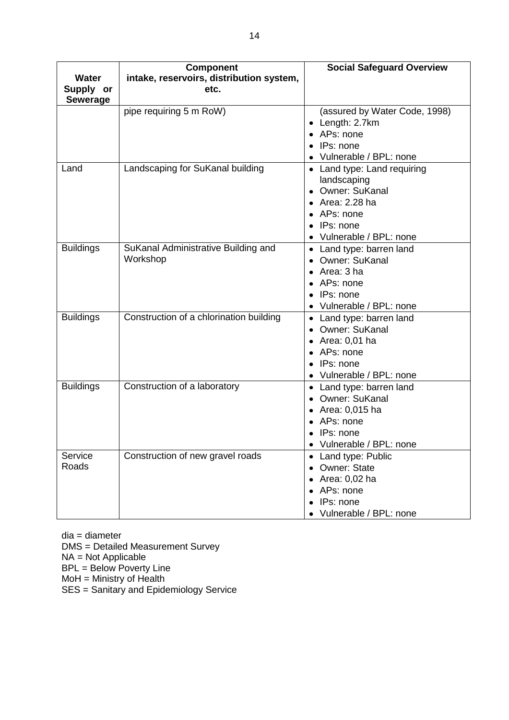|                  | <b>Component</b>                         | <b>Social Safeguard Overview</b> |
|------------------|------------------------------------------|----------------------------------|
| <b>Water</b>     | intake, reservoirs, distribution system, |                                  |
| Supply or        | etc.                                     |                                  |
| <b>Sewerage</b>  |                                          |                                  |
|                  | pipe requiring 5 m RoW)                  | (assured by Water Code, 1998)    |
|                  |                                          | Length: 2.7km                    |
|                  |                                          | APs: none                        |
|                  |                                          | IPs: none                        |
|                  |                                          | Vulnerable / BPL: none           |
| Land             | Landscaping for SuKanal building         | • Land type: Land requiring      |
|                  |                                          | landscaping                      |
|                  |                                          | Owner: SuKanal<br>$\bullet$      |
|                  |                                          | $\bullet$ Area: 2.28 ha          |
|                  |                                          | • APs: none                      |
|                  |                                          | IPs: none                        |
|                  |                                          | Vulnerable / BPL: none           |
| <b>Buildings</b> | SuKanal Administrative Building and      | • Land type: barren land         |
|                  | Workshop                                 | Owner: SuKanal                   |
|                  |                                          | Area: 3 ha                       |
|                  |                                          | APs: none                        |
|                  |                                          | IPs: none                        |
|                  |                                          | Vulnerable / BPL: none           |
| <b>Buildings</b> | Construction of a chlorination building  | Land type: barren land           |
|                  |                                          | • Owner: SuKanal                 |
|                  |                                          | • Area: $0,01$ ha                |
|                  |                                          | • APs: none                      |
|                  |                                          | IPs: none                        |
|                  |                                          | Vulnerable / BPL: none           |
| <b>Buildings</b> | Construction of a laboratory             | • Land type: barren land         |
|                  |                                          | • Owner: SuKanal                 |
|                  |                                          | Area: 0,015 ha                   |
|                  |                                          | APs: none                        |
|                  |                                          | • IPs: none                      |
|                  |                                          | Vulnerable / BPL: none           |
| Service          | Construction of new gravel roads         | Land type: Public                |
| Roads            |                                          | <b>Owner: State</b>              |
|                  |                                          | $\bullet$ Area: 0,02 ha          |
|                  |                                          | • APs: none                      |
|                  |                                          | IPs: none                        |
|                  |                                          | Vulnerable / BPL: none           |

dia = diameter

DMS = Detailed Measurement Survey

NA = Not Applicable

BPL = Below Poverty Line

MoH = Ministry of Health

SES = Sanitary and Epidemiology Service